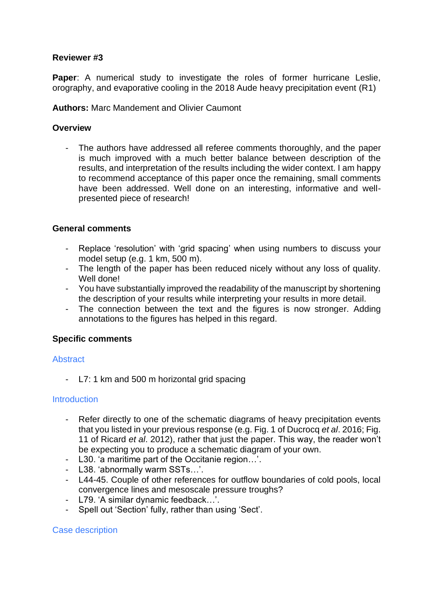# **Reviewer #3**

**Paper**: A numerical study to investigate the roles of former hurricane Leslie, orography, and evaporative cooling in the 2018 Aude heavy precipitation event (R1)

### **Authors:** Marc Mandement and Olivier Caumont

# **Overview**

- The authors have addressed all referee comments thoroughly, and the paper is much improved with a much better balance between description of the results, and interpretation of the results including the wider context. I am happy to recommend acceptance of this paper once the remaining, small comments have been addressed. Well done on an interesting, informative and wellpresented piece of research!

# **General comments**

- Replace 'resolution' with 'grid spacing' when using numbers to discuss your model setup (e.g. 1 km, 500 m).
- The length of the paper has been reduced nicely without any loss of quality. Well done!
- You have substantially improved the readability of the manuscript by shortening the description of your results while interpreting your results in more detail.
- The connection between the text and the figures is now stronger. Adding annotations to the figures has helped in this regard.

#### **Specific comments**

#### **Abstract**

- L7: 1 km and 500 m horizontal grid spacing

#### **Introduction**

- Refer directly to one of the schematic diagrams of heavy precipitation events that you listed in your previous response (e.g. Fig. 1 of Ducrocq *et al*. 2016; Fig. 11 of Ricard *et al*. 2012), rather that just the paper. This way, the reader won't be expecting you to produce a schematic diagram of your own.
- L30. 'a maritime part of the Occitanie region…'.
- L38. 'abnormally warm SSTs…'.
- L44-45. Couple of other references for outflow boundaries of cold pools, local convergence lines and mesoscale pressure troughs?
- L79. 'A similar dynamic feedback…'.
- Spell out 'Section' fully, rather than using 'Sect'.

#### Case description